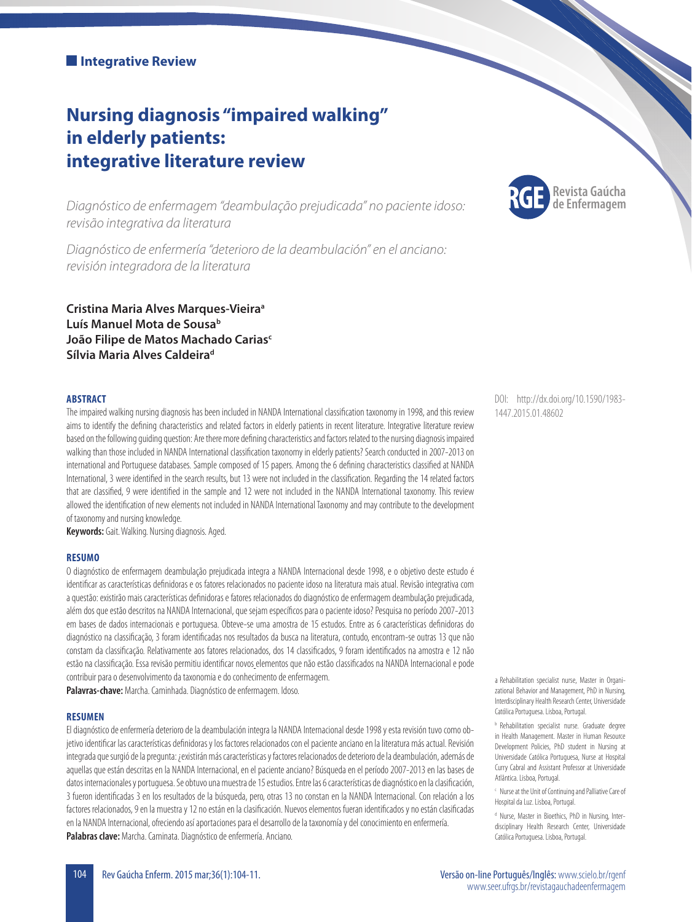# **Nursing diagnosis "impaired walking" in elderly patients: integrative literature review**

*Diagnóstico de enfermagem "deambulação prejudicada" no paciente idoso: revisão integrativa da literatura*

*Diagnóstico de enfermería "deterioro de la deambulación" en el anciano: revisión integradora de la literatura* 

**Cristina Maria Alves Marques-Vieiraa** Luís Manuel Mota de Sousa<sup>b</sup> **João Filipe de Matos Machado Carias<sup>c</sup> Sílvia Maria Alves Caldeirad** 

#### **ABSTRACT**

The impaired walking nursing diagnosis has been included in NANDA International classification taxonomy in 1998, and this review aims to identify the defining characteristics and related factors in elderly patients in recent literature. Integrative literature review based on the following quiding question: Are there more defining characteristics and factors related to the nursing diagnosis impaired walking than those included in NANDA International classification taxonomy in elderly patients? Search conducted in 2007-2013 on international and Portuguese databases. Sample composed of 15 papers. Among the 6 defining characteristics classified at NANDA International, 3 were identified in the search results, but 13 were not included in the classification. Regarding the 14 related factors that are classified, 9 were identified in the sample and 12 were not included in the NANDA International taxonomy. This review allowed the identification of new elements not included in NANDA International Taxonomy and may contribute to the development of taxonomy and nursing knowledge.

**Keywords:** Gait. Walking. Nursing diagnosis. Aged.

#### **RESUMO**

O diagnóstico de enfermagem deambulação prejudicada integra a NANDA Internacional desde 1998, e o objetivo deste estudo é identificar as características definidoras e os fatores relacionados no paciente idoso na literatura mais atual. Revisão integrativa com a questão: existirão mais características definidoras e fatores relacionados do diagnóstico de enfermagem deambulação prejudicada, além dos que estão descritos na NANDA Internacional, que sejam específicos para o paciente idoso? Pesquisa no período 2007-2013 em bases de dados internacionais e portuguesa. Obteve-se uma amostra de 15 estudos. Entre as 6 características definidoras do diagnóstico na classificação, 3 foram identificadas nos resultados da busca na literatura, contudo, encontram-se outras 13 que não constam da classificação. Relativamente aos fatores relacionados, dos 14 classificados, 9 foram identificados na amostra e 12 não estão na classificação. Essa revisão permitiu identificar novos elementos que não estão classificados na NANDA Internacional e pode contribuir para o desenvolvimento da taxonomia e do conhecimento de enfermagem.

**Palavras-chave:** Marcha. Caminhada. Diagnóstico de enfermagem. Idoso.

#### **RESUMEN**

El diagnóstico de enfermería deterioro de la deambulación integra la NANDA Internacional desde 1998 y esta revisión tuvo como objetivo identificar las características definidoras y los factores relacionados con el paciente anciano en la literatura más actual. Revisión integrada que surgió de la pregunta: ¿existirán más características y factores relacionados de deterioro de la deambulación, además de aquellas que están descritas en la NANDA Internacional, en el paciente anciano? Búsqueda en el período 2007-2013 en las bases de datos internacionales y portuguesa. Se obtuvo una muestra de 15 estudios. Entre las 6 características de diagnóstico en la clasificación, 3 fueron identificadas 3 en los resultados de la búsqueda, pero, otras 13 no constan en la NANDA Internacional. Con relación a los factores relacionados, 9 en la muestra y 12 no están en la clasificación. Nuevos elementos fueran identificados y no están clasificadas en la NANDA Internacional, ofreciendo así aportaciones para el desarrollo de la taxonomía y del conocimiento en enfermería. **Palabras clave:** Marcha. Caminata. Diagnóstico de enfermería. Anciano.

DOI: http://dx.doi.org/10.1590/1983- 1447.2015.01.48602

a Rehabilitation specialist nurse, Master in Organizational Behavior and Management, PhD in Nursing, Interdisciplinary Health Research Center, Universidade Católica Portuguesa. Lisboa, Portugal.

**b** Rehabilitation specialist nurse. Graduate degree in Health Management. Master in Human Resource Development Policies, PhD student in Nursing at Universidade Católica Portuguesa, Nurse at Hospital Curry Cabral and Assistant Professor at Universidade Atlântica. Lisboa, Portugal.

c Nurse at the Unit of Continuing and Palliative Care of Hospital da Luz. Lisboa, Portugal.

<sup>d</sup> Nurse, Master in Bioethics, PhD in Nursing, Interdisciplinary Health Research Center, Universidade Católica Portuguesa. Lisboa, Portugal.

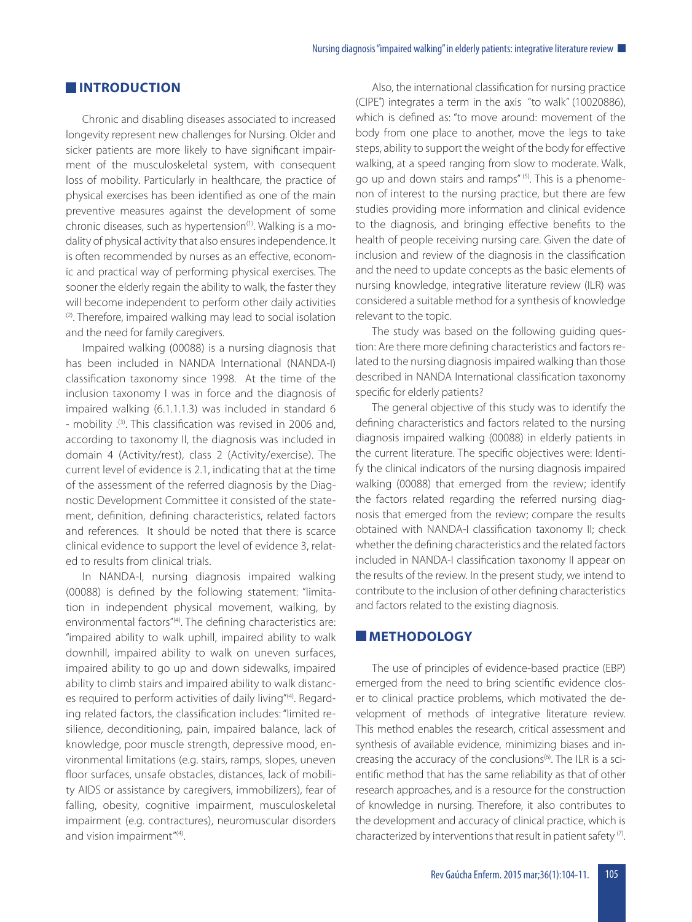## **EXIMPLE INTRODUCTION**

Chronic and disabling diseases associated to increased longevity represent new challenges for Nursing. Older and sicker patients are more likely to have significant impairment of the musculoskeletal system, with consequent loss of mobility. Particularly in healthcare, the practice of physical exercises has been identified as one of the main preventive measures against the development of some chronic diseases, such as hypertension<sup>(1)</sup>. Walking is a modality of physical activity that also ensures independence. It is often recommended by nurses as an effective, economic and practical way of performing physical exercises. The sooner the elderly regain the ability to walk, the faster they will become independent to perform other daily activities <sup>(2)</sup>. Therefore, impaired walking may lead to social isolation and the need for family caregivers.

Impaired walking (00088) is a nursing diagnosis that has been included in NANDA International (NANDA-I) classification taxonomy since 1998. At the time of the inclusion taxonomy I was in force and the diagnosis of impaired walking (6.1.1.1.3) was included in standard 6 - mobility .<sup>(3)</sup>. This classification was revised in 2006 and, according to taxonomy II, the diagnosis was included in domain 4 (Activity/rest), class 2 (Activity/exercise). The current level of evidence is 2.1, indicating that at the time of the assessment of the referred diagnosis by the Diagnostic Development Committee it consisted of the statement, definition, defining characteristics, related factors and references. It should be noted that there is scarce clinical evidence to support the level of evidence 3, related to results from clinical trials.

In NANDA-I, nursing diagnosis impaired walking (00088) is defined by the following statement: "limitation in independent physical movement, walking, by environmental factors"<sup>(4)</sup>. The defining characteristics are: "impaired ability to walk uphill, impaired ability to walk downhill, impaired ability to walk on uneven surfaces, impaired ability to go up and down sidewalks, impaired ability to climb stairs and impaired ability to walk distances required to perform activities of daily living"<sup>(4)</sup>. Regarding related factors, the classification includes: "limited resilience, deconditioning, pain, impaired balance, lack of knowledge, poor muscle strength, depressive mood, environmental limitations (e.g. stairs, ramps, slopes, uneven floor surfaces, unsafe obstacles, distances, lack of mobility AIDS or assistance by caregivers, immobilizers), fear of falling, obesity, cognitive impairment, musculoskeletal impairment (e.g. contractures), neuromuscular disorders and vision impairment"<sup>(4)</sup>.

Also, the international classification for nursing practice (CIPE® ) integrates a term in the axis "to walk" (10020886), which is defined as: "to move around: movement of the body from one place to another, move the legs to take steps, ability to support the weight of the body for effective walking, at a speed ranging from slow to moderate. Walk, go up and down stairs and ramps" (5). This is a phenomenon of interest to the nursing practice, but there are few studies providing more information and clinical evidence to the diagnosis, and bringing effective benefits to the health of people receiving nursing care. Given the date of inclusion and review of the diagnosis in the classification and the need to update concepts as the basic elements of nursing knowledge, integrative literature review (ILR) was considered a suitable method for a synthesis of knowledge relevant to the topic.

The study was based on the following guiding question: Are there more defining characteristics and factors related to the nursing diagnosis impaired walking than those described in NANDA International classification taxonomy specific for elderly patients?

The general objective of this study was to identify the defining characteristics and factors related to the nursing diagnosis impaired walking (00088) in elderly patients in the current literature. The specific objectives were: Identify the clinical indicators of the nursing diagnosis impaired walking (00088) that emerged from the review; identify the factors related regarding the referred nursing diagnosis that emerged from the review; compare the results obtained with NANDA-I classification taxonomy II; check whether the defining characteristics and the related factors included in NANDA-I classification taxonomy II appear on the results of the review. In the present study, we intend to contribute to the inclusion of other defining characteristics and factors related to the existing diagnosis.

## **METHODOLOGY**

The use of principles of evidence-based practice (EBP) emerged from the need to bring scientific evidence closer to clinical practice problems, which motivated the development of methods of integrative literature review. This method enables the research, critical assessment and synthesis of available evidence, minimizing biases and increasing the accuracy of the conclusions<sup>(6)</sup>. The ILR is a scientific method that has the same reliability as that of other research approaches, and is a resource for the construction of knowledge in nursing. Therefore, it also contributes to the development and accuracy of clinical practice, which is characterized by interventions that result in patient safety (7).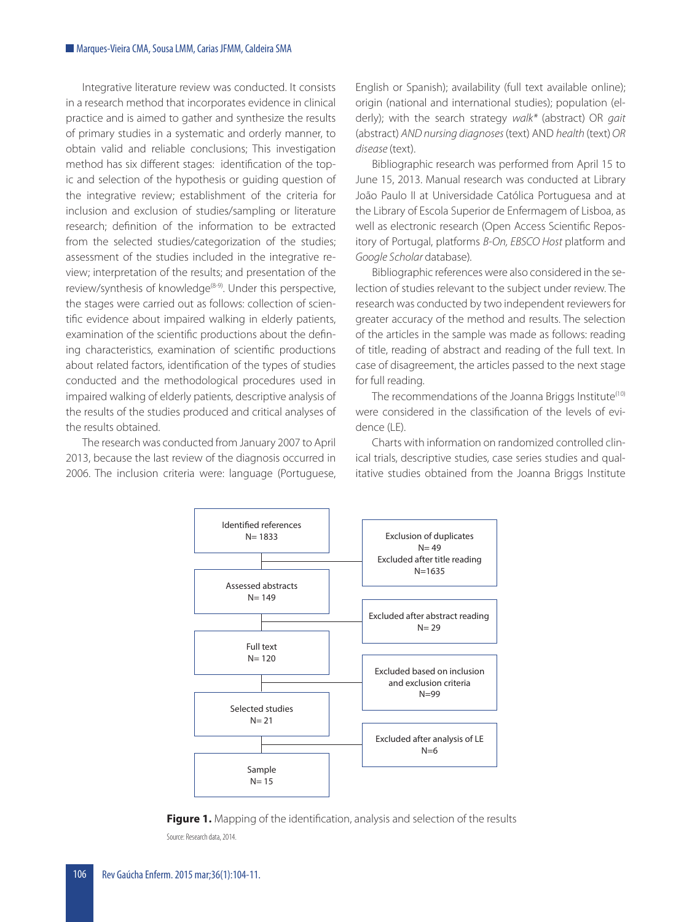Integrative literature review was conducted. It consists in a research method that incorporates evidence in clinical practice and is aimed to gather and synthesize the results of primary studies in a systematic and orderly manner, to obtain valid and reliable conclusions; This investigation method has six different stages: identification of the topic and selection of the hypothesis or guiding question of the integrative review; establishment of the criteria for inclusion and exclusion of studies/sampling or literature research; definition of the information to be extracted from the selected studies/categorization of the studies; assessment of the studies included in the integrative review; interpretation of the results; and presentation of the review/synthesis of knowledge<sup>(8-9)</sup>. Under this perspective, the stages were carried out as follows: collection of scientific evidence about impaired walking in elderly patients, examination of the scientific productions about the defining characteristics, examination of scientific productions about related factors, identification of the types of studies conducted and the methodological procedures used in impaired walking of elderly patients, descriptive analysis of the results of the studies produced and critical analyses of the results obtained.

The research was conducted from January 2007 to April 2013, because the last review of the diagnosis occurred in 2006. The inclusion criteria were: language (Portuguese, English or Spanish); availability (full text available online); origin (national and international studies); population (elderly); with the search strategy *walk\** (abstract) OR *gait*  (abstract) *AND nursing diagnoses* (text) AND *health* (text) *OR disease* (text).

Bibliographic research was performed from April 15 to June 15, 2013. Manual research was conducted at Library João Paulo II at Universidade Católica Portuguesa and at the Library of Escola Superior de Enfermagem of Lisboa, as well as electronic research (Open Access Scientific Repository of Portugal, platforms *B-On, EBSCO Host* platform and *Google Scholar* database)*.*

Bibliographic references were also considered in the selection of studies relevant to the subject under review. The research was conducted by two independent reviewers for greater accuracy of the method and results. The selection of the articles in the sample was made as follows: reading of title, reading of abstract and reading of the full text. In case of disagreement, the articles passed to the next stage for full reading.

The recommendations of the Joanna Briggs Institute<sup>(10)</sup> were considered in the classification of the levels of evidence (LE).

Charts with information on randomized controlled clinical trials, descriptive studies, case series studies and qualitative studies obtained from the Joanna Briggs Institute



**Figure 1.** Mapping of the identification, analysis and selection of the results Source: Research data, 2014.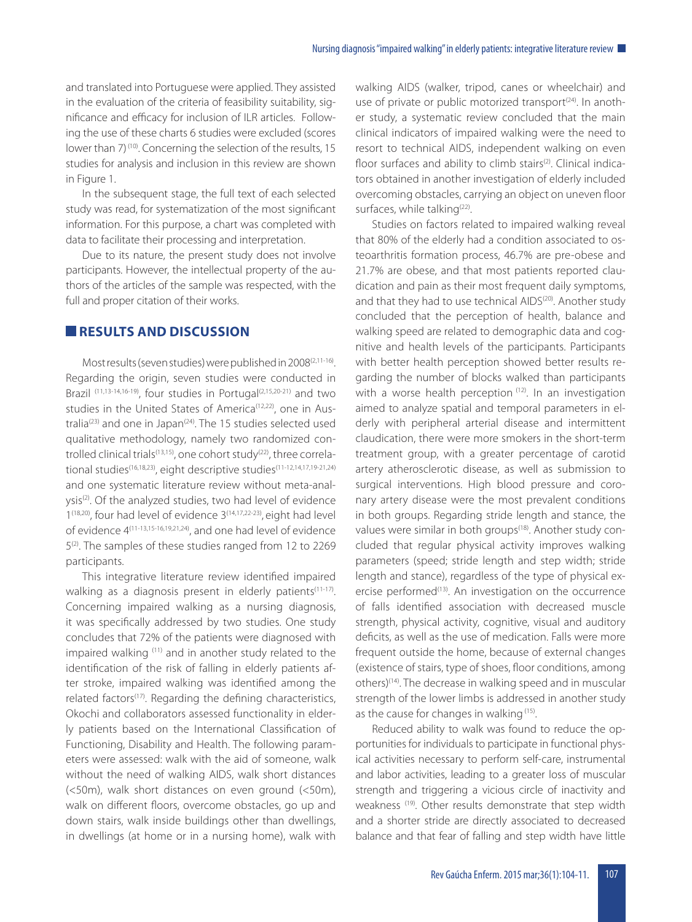and translated into Portuguese were applied. They assisted in the evaluation of the criteria of feasibility suitability, significance and efficacy for inclusion of ILR articles. Following the use of these charts 6 studies were excluded (scores lower than 7)<sup>(10)</sup>. Concerning the selection of the results, 15 studies for analysis and inclusion in this review are shown in Figure 1.

In the subsequent stage, the full text of each selected study was read, for systematization of the most significant information. For this purpose, a chart was completed with data to facilitate their processing and interpretation.

Due to its nature, the present study does not involve participants. However, the intellectual property of the authors of the articles of the sample was respected, with the full and proper citation of their works.

#### **RESULTS AND DISCUSSION**

Most results (seven studies) were published in 2008(2,11-16). Regarding the origin, seven studies were conducted in Brazil<sup>(11,13-14,16-19)</sup>, four studies in Portugal<sup>(2,15,20-21)</sup> and two studies in the United States of America<sup>(12,22)</sup>, one in Australia<sup>(23)</sup> and one in Japan<sup>(24)</sup>. The 15 studies selected used qualitative methodology, namely two randomized controlled clinical trials<sup>(13,15)</sup>, one cohort study<sup>(22)</sup>, three correlational studies<sup>(16,18,23)</sup>, eight descriptive studies<sup>(11-12,14,17,19-21,24)</sup> and one systematic literature review without meta-analysis<sup>(2)</sup>. Of the analyzed studies, two had level of evidence 1<sup>(18,20)</sup>, four had level of evidence 3<sup>(14,17,22-23)</sup>, eight had level of evidence 4(11-13,15-16,19,21,24), and one had level of evidence 5<sup>(2)</sup>. The samples of these studies ranged from 12 to 2269 participants.

This integrative literature review identified impaired walking as a diagnosis present in elderly patients<sup>(11-17)</sup>. Concerning impaired walking as a nursing diagnosis, it was specifically addressed by two studies. One study concludes that 72% of the patients were diagnosed with impaired walking (11) and in another study related to the identification of the risk of falling in elderly patients after stroke, impaired walking was identified among the related factors<sup>(17)</sup>. Regarding the defining characteristics, Okochi and collaborators assessed functionality in elderly patients based on the International Classification of Functioning, Disability and Health. The following parameters were assessed: walk with the aid of someone, walk without the need of walking AIDS, walk short distances (<50m), walk short distances on even ground (<50m), walk on different floors, overcome obstacles, go up and down stairs, walk inside buildings other than dwellings, in dwellings (at home or in a nursing home), walk with

walking AIDS (walker, tripod, canes or wheelchair) and use of private or public motorized transport<sup>(24)</sup>. In another study, a systematic review concluded that the main clinical indicators of impaired walking were the need to resort to technical AIDS, independent walking on even floor surfaces and ability to climb stairs<sup>(2)</sup>. Clinical indicators obtained in another investigation of elderly included overcoming obstacles, carrying an object on uneven floor surfaces, while talking<sup>(22)</sup>.

Studies on factors related to impaired walking reveal that 80% of the elderly had a condition associated to osteoarthritis formation process, 46.7% are pre-obese and 21.7% are obese, and that most patients reported claudication and pain as their most frequent daily symptoms, and that they had to use technical AIDS<sup>(20)</sup>. Another study concluded that the perception of health, balance and walking speed are related to demographic data and cognitive and health levels of the participants. Participants with better health perception showed better results regarding the number of blocks walked than participants with a worse health perception (12). In an investigation aimed to analyze spatial and temporal parameters in elderly with peripheral arterial disease and intermittent claudication, there were more smokers in the short-term treatment group, with a greater percentage of carotid artery atherosclerotic disease, as well as submission to surgical interventions. High blood pressure and coronary artery disease were the most prevalent conditions in both groups. Regarding stride length and stance, the values were similar in both groups<sup>(18)</sup>. Another study concluded that regular physical activity improves walking parameters (speed; stride length and step width; stride length and stance), regardless of the type of physical exercise performed<sup>(13)</sup>. An investigation on the occurrence of falls identified association with decreased muscle strength, physical activity, cognitive, visual and auditory deficits, as well as the use of medication. Falls were more frequent outside the home, because of external changes (existence of stairs, type of shoes, floor conditions, among others)(14). The decrease in walking speed and in muscular strength of the lower limbs is addressed in another study as the cause for changes in walking (15).

Reduced ability to walk was found to reduce the opportunities for individuals to participate in functional physical activities necessary to perform self-care, instrumental and labor activities, leading to a greater loss of muscular strength and triggering a vicious circle of inactivity and weakness (19). Other results demonstrate that step width and a shorter stride are directly associated to decreased balance and that fear of falling and step width have little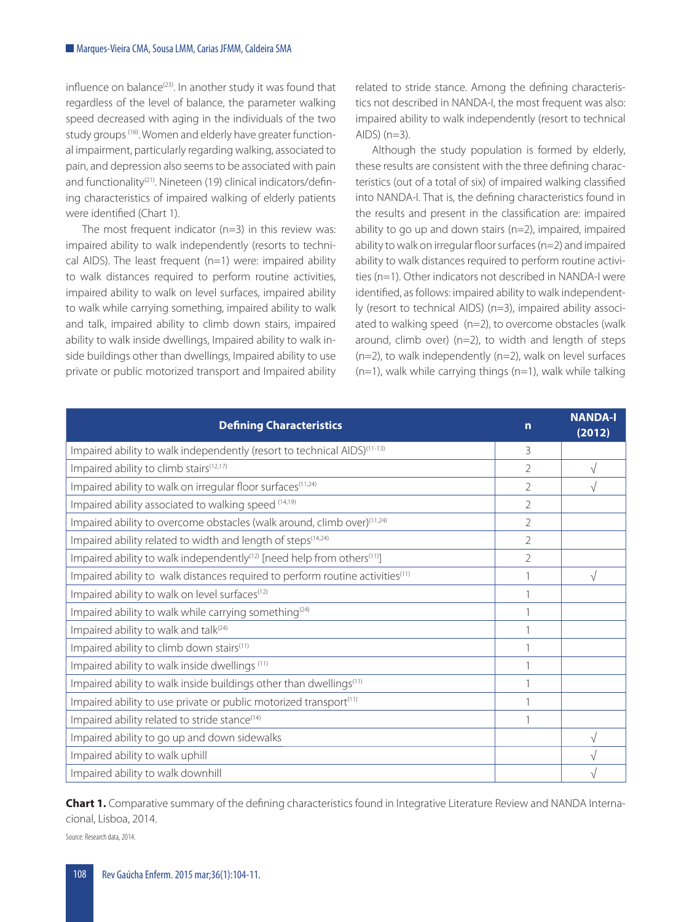influence on balance<sup>(23)</sup>. In another study it was found that regardless of the level of balance, the parameter walking speed decreased with aging in the individuals of the two study groups (16). Women and elderly have greater functional impairment, particularly regarding walking, associated to pain, and depression also seems to be associated with pain and functionality<sup>(21)</sup>. Nineteen (19) clinical indicators/defining characteristics of impaired walking of elderly patients were identified (Chart 1).

The most frequent indicator  $(n=3)$  in this review was: impaired ability to walk independently (resorts to technical AIDS). The least frequent (n=1) were: impaired ability to walk distances required to perform routine activities, impaired ability to walk on level surfaces, impaired ability to walk while carrying something, impaired ability to walk and talk, impaired ability to climb down stairs, impaired ability to walk inside dwellings, Impaired ability to walk inside buildings other than dwellings, Impaired ability to use private or public motorized transport and Impaired ability related to stride stance. Among the defining characteristics not described in NANDA-I, the most frequent was also: impaired ability to walk independently (resort to technical AIDS) (n=3).

Although the study population is formed by elderly, these results are consistent with the three defining characteristics (out of a total of six) of impaired walking classified into NANDA-I. That is, the defining characteristics found in the results and present in the classification are: impaired ability to go up and down stairs (n=2), impaired, impaired ability to walk on irregular floor surfaces ( $n=2$ ) and impaired ability to walk distances required to perform routine activities (n=1). Other indicators not described in NANDA-I were identified, as follows: impaired ability to walk independently (resort to technical AIDS) (n=3), impaired ability associated to walking speed (n=2), to overcome obstacles (walk around, climb over) (n=2), to width and length of steps  $(n=2)$ , to walk independently  $(n=2)$ , walk on level surfaces  $(n=1)$ , walk while carrying things  $(n=1)$ , walk while talking

| <b>Defining Characteristics</b>                                                                 | n              | <b>NANDA-I</b><br>(2012) |
|-------------------------------------------------------------------------------------------------|----------------|--------------------------|
| Impaired ability to walk independently (resort to technical AIDS) <sup>(11-13)</sup>            | 3              |                          |
| Impaired ability to climb stairs <sup>(12,17)</sup>                                             | $\overline{2}$ | $\sqrt{}$                |
| Impaired ability to walk on irregular floor surfaces <sup>(11,24)</sup>                         | $\overline{2}$ | $\sqrt{}$                |
| Impaired ability associated to walking speed (14,19)                                            | $\overline{2}$ |                          |
| Impaired ability to overcome obstacles (walk around, climb over) <sup>(11,24)</sup>             | $\overline{2}$ |                          |
| Impaired ability related to width and length of steps <sup>(14,24)</sup>                        | $\overline{2}$ |                          |
| Impaired ability to walk independently <sup>(12)</sup> [need help from others <sup>(11)</sup> ] | $\overline{2}$ |                          |
| Impaired ability to walk distances required to perform routine activities <sup>(11)</sup>       |                | $\sqrt{}$                |
| Impaired ability to walk on level surfaces <sup>(12)</sup>                                      |                |                          |
| Impaired ability to walk while carrying something <sup>(24)</sup>                               |                |                          |
| Impaired ability to walk and talk <sup>(24)</sup>                                               |                |                          |
| Impaired ability to climb down stairs <sup>(11)</sup>                                           |                |                          |
| Impaired ability to walk inside dwellings (11)                                                  |                |                          |
| Impaired ability to walk inside buildings other than dwellings <sup>(11)</sup>                  |                |                          |
| Impaired ability to use private or public motorized transport <sup>(11)</sup>                   |                |                          |
| Impaired ability related to stride stance <sup>(14)</sup>                                       |                |                          |
| Impaired ability to go up and down sidewalks                                                    |                | $\sqrt{}$                |
| Impaired ability to walk uphill                                                                 |                | V                        |
| Impaired ability to walk downhill                                                               |                |                          |

**Chart 1.** Comparative summary of the defining characteristics found in Integrative Literature Review and NANDA Internacional, Lisboa, 2014.

Source: Research data, 2014.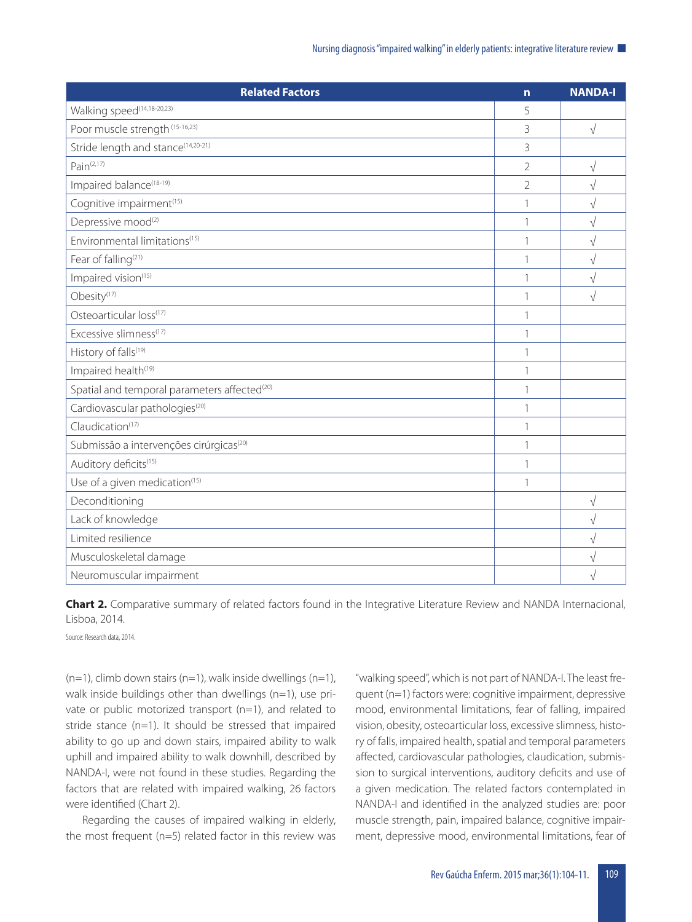| <b>Related Factors</b>                                   | $\mathbf n$    | <b>NANDA-I</b> |
|----------------------------------------------------------|----------------|----------------|
| Walking speed(14,18-20,23)                               | 5              |                |
| Poor muscle strength (15-16,23)                          | 3              | $\sqrt{}$      |
| Stride length and stance(14,20-21)                       | 3              |                |
| Pain <sup>(2,17)</sup>                                   | $\overline{2}$ | $\sqrt{}$      |
| Impaired balance <sup>(18-19)</sup>                      | $\overline{2}$ | $\sqrt{}$      |
| Cognitive impairment <sup>(15)</sup>                     | $\mathbf{1}$   | $\sqrt{}$      |
| Depressive mood <sup>(2)</sup>                           | $\mathbf{1}$   | $\sqrt{}$      |
| Environmental limitations <sup>(15)</sup>                | $\mathbf{1}$   | $\sqrt{}$      |
| Fear of falling <sup>(21)</sup>                          | 1              | $\sqrt{}$      |
| Impaired vision(15)                                      | $\mathbf{1}$   | $\sqrt{}$      |
| Obesity <sup>(17)</sup>                                  | $\mathbf{1}$   | $\sqrt{}$      |
| Osteoarticular loss <sup>(17)</sup>                      | $\mathbf{1}$   |                |
| Excessive slimness <sup>(17)</sup>                       | 1              |                |
| History of falls <sup>(19)</sup>                         | $\mathbf{1}$   |                |
| Impaired health <sup>(19)</sup>                          | $\mathbf{1}$   |                |
| Spatial and temporal parameters affected <sup>(20)</sup> | $\mathbf{1}$   |                |
| Cardiovascular pathologies <sup>(20)</sup>               | $\mathbf{1}$   |                |
| Claudication <sup>(17)</sup>                             | $\mathbf{1}$   |                |
| Submissão a intervenções cirúrgicas <sup>(20)</sup>      | $\mathbf{1}$   |                |
| Auditory deficits <sup>(15)</sup>                        | $\mathbf{1}$   |                |
| Use of a given medication <sup>(15)</sup>                | 1              |                |
| Deconditioning                                           |                | $\sqrt{}$      |
| Lack of knowledge                                        |                | $\sqrt{}$      |
| Limited resilience                                       |                | $\sqrt{}$      |
| Musculoskeletal damage                                   |                | $\sqrt{}$      |
| Neuromuscular impairment                                 |                | $\sqrt{}$      |

**Chart 2.** Comparative summary of related factors found in the Integrative Literature Review and NANDA Internacional, Lisboa, 2014.

Source: Research data, 2014.

 $(n=1)$ , climb down stairs  $(n=1)$ , walk inside dwellings  $(n=1)$ , walk inside buildings other than dwellings (n=1), use private or public motorized transport (n=1), and related to stride stance (n=1). It should be stressed that impaired ability to go up and down stairs, impaired ability to walk uphill and impaired ability to walk downhill, described by NANDA-I, were not found in these studies. Regarding the factors that are related with impaired walking, 26 factors were identified (Chart 2).

Regarding the causes of impaired walking in elderly, the most frequent (n=5) related factor in this review was "walking speed", which is not part of NANDA-I. The least frequent (n=1) factors were: cognitive impairment, depressive mood, environmental limitations, fear of falling, impaired vision, obesity, osteoarticular loss, excessive slimness, history of falls, impaired health, spatial and temporal parameters affected, cardiovascular pathologies, claudication, submission to surgical interventions, auditory deficits and use of a given medication. The related factors contemplated in NANDA-I and identified in the analyzed studies are: poor muscle strength, pain, impaired balance, cognitive impairment, depressive mood, environmental limitations, fear of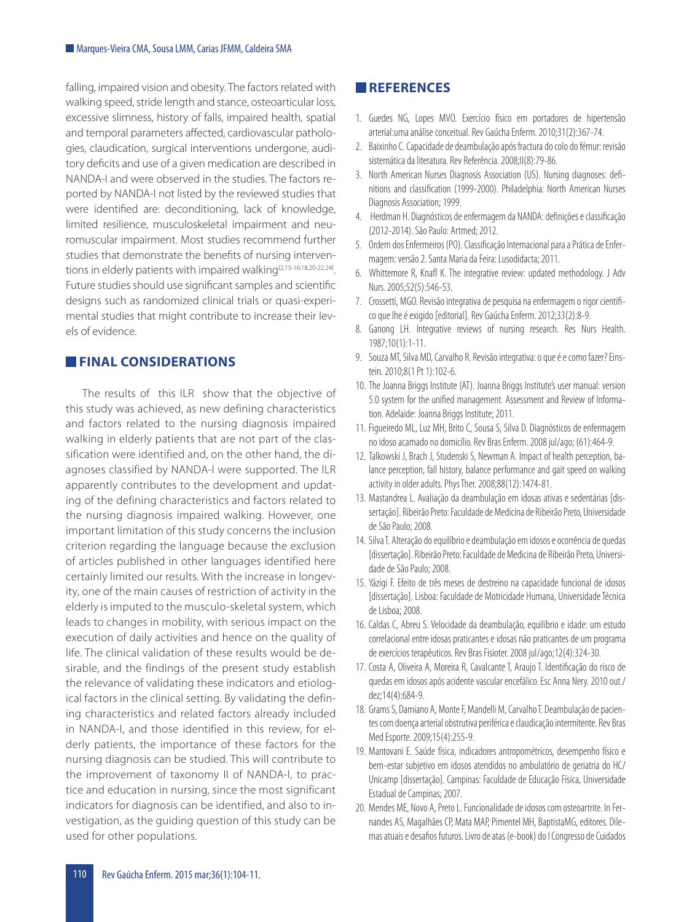falling, impaired vision and obesity. The factors related with walking speed, stride length and stance, osteoarticular loss, excessive slimness, history of falls, impaired health, spatial and temporal parameters affected, cardiovascular pathologies, claudication, surgical interventions undergone, auditory deficits and use of a given medication are described in NANDA-I and were observed in the studies. The factors reported by NANDA-I not listed by the reviewed studies that were identified are: deconditioning, lack of knowledge, limited resilience, musculoskeletal impairment and neuromuscular impairment. Most studies recommend further studies that demonstrate the benefits of nursing interventions in elderly patients with impaired walking<sup>(2,15-16,18,20-22,24)</sup>. Future studies should use significant samples and scientific designs such as randomized clinical trials or quasi-experimental studies that might contribute to increase their levels of evidence.

## **EXPIRITIONS**

The results of this ILR show that the objective of this study was achieved, as new defining characteristics and factors related to the nursing diagnosis impaired walking in elderly patients that are not part of the classification were identified and, on the other hand, the diagnoses classified by NANDA-I were supported. The ILR apparently contributes to the development and updating of the defining characteristics and factors related to the nursing diagnosis impaired walking. However, one important limitation of this study concerns the inclusion criterion regarding the language because the exclusion of articles published in other languages identified here certainly limited our results. With the increase in longevity, one of the main causes of restriction of activity in the elderly is imputed to the musculo-skeletal system, which leads to changes in mobility, with serious impact on the execution of daily activities and hence on the quality of life. The clinical validation of these results would be desirable, and the findings of the present study establish the relevance of validating these indicators and etiological factors in the clinical setting. By validating the defining characteristics and related factors already included in NANDA-I, and those identified in this review, for elderly patients, the importance of these factors for the nursing diagnosis can be studied. This will contribute to the improvement of taxonomy II of NANDA-I, to practice and education in nursing, since the most significant indicators for diagnosis can be identified, and also to investigation, as the guiding question of this study can be used for other populations.

## **REFERENCES**

- 1. Guedes NG, Lopes MVO. Exercício físico em portadores de hipertensão arterial:uma análise conceitual. Rev Gaúcha Enferm. 2010;31(2):367-74.
- 2. Baixinho C. Capacidade de deambulação após fractura do colo do fémur: revisão sistemática da literatura. Rev Referência. 2008;II(8):79-86.
- 3. North American Nurses Diagnosis Association (US). Nursing diagnoses: definitions and classification (1999-2000). Philadelphia: North American Nurses Diagnosis Association; 1999.
- 4. Herdman H. Diagnósticos de enfermagem da NANDA: definições e classificação (2012-2014). São Paulo: Artmed; 2012.
- 5. Ordem dos Enfermeiros (PO). Classificação Internacional para a Prática de Enfermagem: versão 2. Santa Maria da Feira: Lusodidacta; 2011.
- 6. Whittemore R, Knafl K. The integrative review: updated methodology. J Adv Nurs. 2005;52(5):546-53.
- 7. Crossetti, MGO. Revisão integrativa de pesquisa na enfermagem o rigor cientifi co que lhe é exigido [editorial]. Rev Gaúcha Enferm. 2012;33(2):8-9.
- 8. Ganong LH. Integrative reviews of nursing research. Res Nurs Health. 1987;10(1):1-11.
- 9. Souza MT, Silva MD, Carvalho R. Revisão integrativa: o que é e como fazer? Einstein. 2010;8(1 Pt 1):102-6.
- 10. The Joanna Briggs Institute (AT). Joanna Briggs Institute's user manual: version 5.0 system for the unified management. Assessment and Review of Information. Adelaide: Joanna Briggs Institute; 2011.
- 11. Figueiredo ML, Luz MH, Brito C, Sousa S, Silva D. Diagnósticos de enfermagem no idoso acamado no domicílio. Rev Bras Enferm. 2008 jul/ago; (61):464-9.
- 12. Talkowski J, Brach J, Studenski S, Newman A. Impact of health perception, balance perception, fall history, balance performance and gait speed on walking activity in older adults. Phys Ther. 2008;88(12):1474-81.
- 13. Mastandrea L. Avaliação da deambulação em idosas ativas e sedentárias [dissertação]. Ribeirão Preto: Faculdade de Medicina de Ribeirão Preto, Universidade de São Paulo; 2008.
- 14. Silva T. Alteração do equilíbrio e deambulação em idosos e ocorrência de quedas [dissertação]. Ribeirão Preto: Faculdade de Medicina de Ribeirão Preto, Universidade de São Paulo; 2008.
- 15. Yázigi F. Efeito de três meses de destreino na capacidade funcional de idosos [dissertação]. Lisboa: Faculdade de Motricidade Humana, Universidade Técnica de Lisboa; 2008.
- 16. Caldas C, Abreu S. Velocidade da deambulação, equilíbrio e idade: um estudo correlacional entre idosas praticantes e idosas não praticantes de um programa de exercícios terapêuticos. Rev Bras Fisioter. 2008 jul/ago;12(4):324-30.
- 17. Costa A, Oliveira A, Moreira R, Cavalcante T, Araujo T. Identificação do risco de quedas em idosos após acidente vascular encefálico. Esc Anna Nery. 2010 out./ dez;14(4):684-9.
- 18. Grams S, Damiano A, Monte F, Mandelli M, Carvalho T. Deambulação de pacientes com doença arterial obstrutiva periférica e claudicação intermitente. Rev Bras Med Esporte. 2009;15(4):255-9.
- 19. Mantovani E. Saúde física, indicadores antropométricos, desempenho físico e bem-estar subjetivo em idosos atendidos no ambulatório de geriatria do HC/ Unicamp [dissertação]. Campinas: Faculdade de Educação Física, Universidade Estadual de Campinas; 2007.
- 20. Mendes ME, Novo A, Preto L. Funcionalidade de idosos com osteoartrite. In Fernandes AS, Magalhães CP, Mata MAP, Pimentel MH, BaptistaMG, editores. Dilemas atuais e desafios futuros. Livro de atas (e-book) do I Congresso de Cuidados